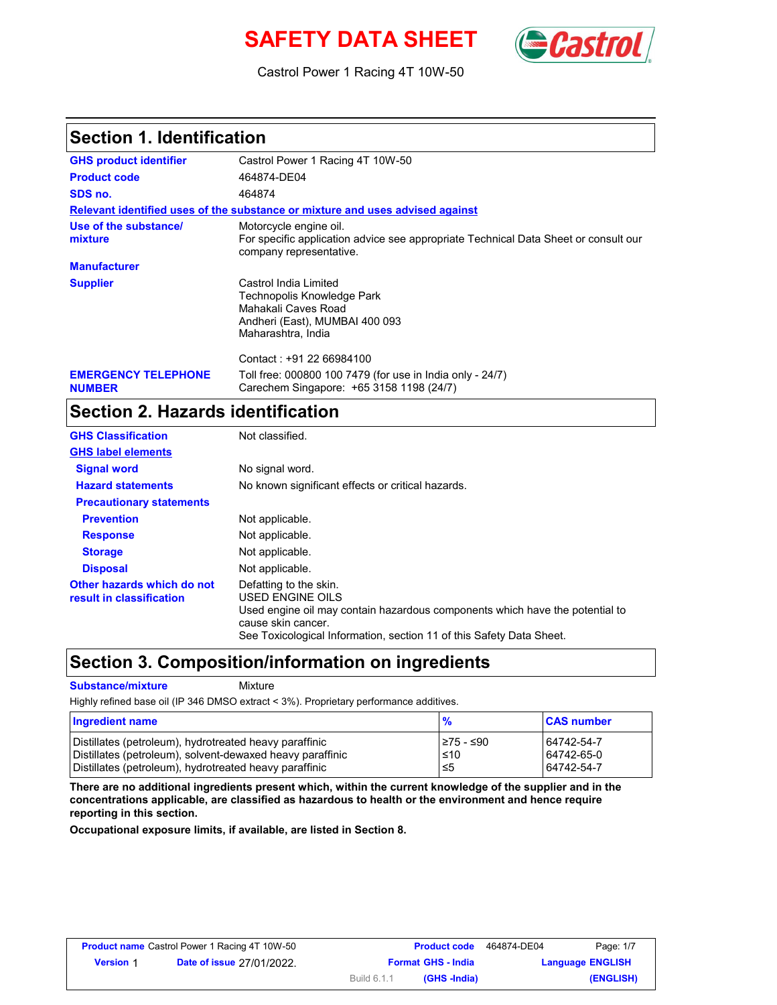# **SAFETY DATA SHEET** (Castro



Castrol Power 1 Racing 4T 10W-50

### **Section 1. Identification**

| <b>GHS product identifier</b>               | Castrol Power 1 Racing 4T 10W-50                                                                                                         |  |  |
|---------------------------------------------|------------------------------------------------------------------------------------------------------------------------------------------|--|--|
| <b>Product code</b>                         | 464874-DE04                                                                                                                              |  |  |
| SDS no.                                     | 464874                                                                                                                                   |  |  |
|                                             | Relevant identified uses of the substance or mixture and uses advised against                                                            |  |  |
| Use of the substance/<br>mixture            | Motorcycle engine oil.<br>For specific application advice see appropriate Technical Data Sheet or consult our<br>company representative. |  |  |
| <b>Manufacturer</b>                         |                                                                                                                                          |  |  |
| <b>Supplier</b>                             | Castrol India Limited<br>Technopolis Knowledge Park<br>Mahakali Caves Road<br>Andheri (East), MUMBAI 400 093<br>Maharashtra, India       |  |  |
|                                             | Contact: +91 22 66984100                                                                                                                 |  |  |
| <b>EMERGENCY TELEPHONE</b><br><b>NUMBER</b> | Toll free: 000800 100 7479 (for use in India only - 24/7)<br>Carechem Singapore: +65 3158 1198 (24/7)                                    |  |  |

## **Section 2. Hazards identification**

| <b>GHS Classification</b>                              | Not classified.                                                                                                                                                                                                          |
|--------------------------------------------------------|--------------------------------------------------------------------------------------------------------------------------------------------------------------------------------------------------------------------------|
| <b>GHS label elements</b>                              |                                                                                                                                                                                                                          |
| <b>Signal word</b>                                     | No signal word.                                                                                                                                                                                                          |
| <b>Hazard statements</b>                               | No known significant effects or critical hazards.                                                                                                                                                                        |
| <b>Precautionary statements</b>                        |                                                                                                                                                                                                                          |
| <b>Prevention</b>                                      | Not applicable.                                                                                                                                                                                                          |
| <b>Response</b>                                        | Not applicable.                                                                                                                                                                                                          |
| <b>Storage</b>                                         | Not applicable.                                                                                                                                                                                                          |
| <b>Disposal</b>                                        | Not applicable.                                                                                                                                                                                                          |
| Other hazards which do not<br>result in classification | Defatting to the skin.<br>USED ENGINE OILS<br>Used engine oil may contain hazardous components which have the potential to<br>cause skin cancer.<br>See Toxicological Information, section 11 of this Safety Data Sheet. |

### **Section 3. Composition/information on ingredients**

**Substance/mixture Mixture** 

Highly refined base oil (IP 346 DMSO extract < 3%). Proprietary performance additives.

| Ingredient name                                           | $\frac{9}{6}$ | <b>CAS number</b> |
|-----------------------------------------------------------|---------------|-------------------|
| Distillates (petroleum), hydrotreated heavy paraffinic    | l≥75 - ≤90    | 64742-54-7        |
| Distillates (petroleum), solvent-dewaxed heavy paraffinic | $\leq 10$     | 64742-65-0        |
| Distillates (petroleum), hydrotreated heavy paraffinic    | ≤5            | 64742-54-7        |

**There are no additional ingredients present which, within the current knowledge of the supplier and in the concentrations applicable, are classified as hazardous to health or the environment and hence require reporting in this section.**

**Occupational exposure limits, if available, are listed in Section 8.**

| Page: 1/7               | 464874-DE04 | <b>Product code</b>       |             | <b>Product name</b> Castrol Power 1 Racing 4T 10W-50 |                  |
|-------------------------|-------------|---------------------------|-------------|------------------------------------------------------|------------------|
| <b>Language ENGLISH</b> |             | <b>Format GHS - India</b> |             | <b>Date of issue 27/01/2022.</b>                     | <b>Version 1</b> |
| (ENGLISH)               |             | (GHS -India)              | Build 6.1.1 |                                                      |                  |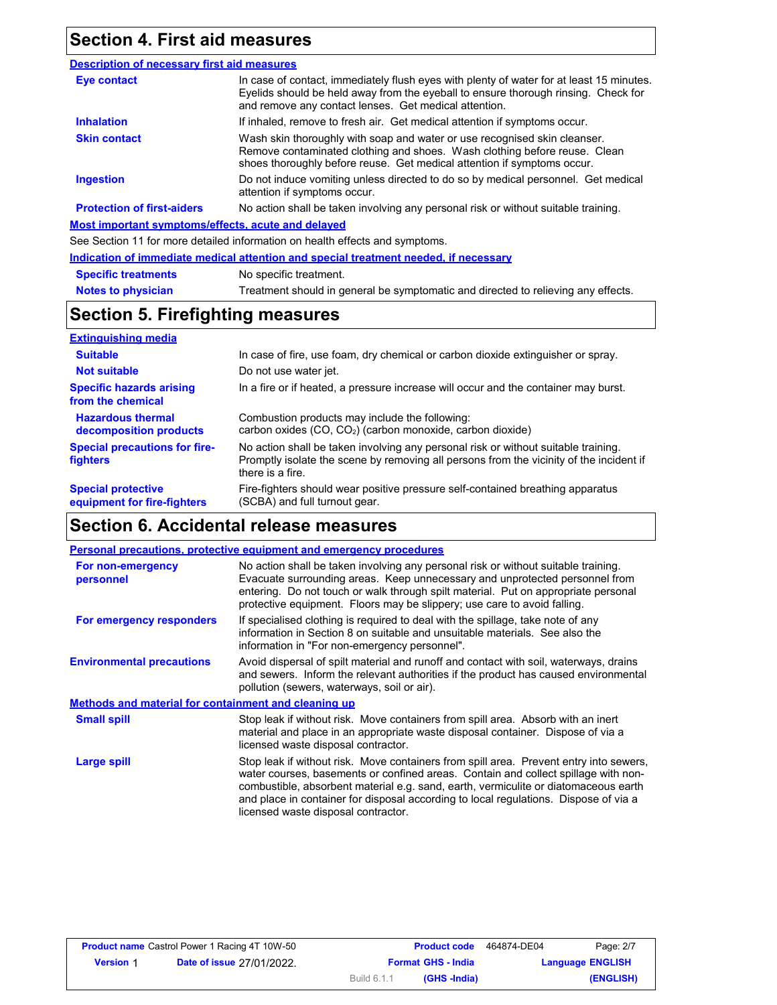### **Section 4. First aid measures**

#### **Eye contact Skin contact Inhalation Ingestion Description of necessary first aid measures Most important symptoms/effects, acute and delayed** See Section 11 for more detailed information on health effects and symptoms. **Protection of first-aiders** If inhaled, remove to fresh air. Get medical attention if symptoms occur. Do not induce vomiting unless directed to do so by medical personnel. Get medical attention if symptoms occur. Wash skin thoroughly with soap and water or use recognised skin cleanser. Remove contaminated clothing and shoes. Wash clothing before reuse. Clean shoes thoroughly before reuse. Get medical attention if symptoms occur. In case of contact, immediately flush eyes with plenty of water for at least 15 minutes. Eyelids should be held away from the eyeball to ensure thorough rinsing. Check for and remove any contact lenses. Get medical attention. No action shall be taken involving any personal risk or without suitable training.

|                            | Indication of immediate medical attention and special treatment needed, if necessary |
|----------------------------|--------------------------------------------------------------------------------------|
| <b>Specific treatments</b> | No specific treatment.                                                               |
| <b>Notes to physician</b>  | Treatment should in general be symptomatic and directed to relieving any effects.    |

### **Section 5. Firefighting measures**

| <b>Extinguishing media</b>                               |                                                                                                                                                                                                   |
|----------------------------------------------------------|---------------------------------------------------------------------------------------------------------------------------------------------------------------------------------------------------|
| <b>Suitable</b>                                          | In case of fire, use foam, dry chemical or carbon dioxide extinguisher or spray.                                                                                                                  |
| <b>Not suitable</b>                                      | Do not use water jet.                                                                                                                                                                             |
| <b>Specific hazards arising</b><br>from the chemical     | In a fire or if heated, a pressure increase will occur and the container may burst.                                                                                                               |
| <b>Hazardous thermal</b><br>decomposition products       | Combustion products may include the following:<br>carbon oxides $(CO, CO2)$ (carbon monoxide, carbon dioxide)                                                                                     |
| <b>Special precautions for fire-</b><br><b>fighters</b>  | No action shall be taken involving any personal risk or without suitable training.<br>Promptly isolate the scene by removing all persons from the vicinity of the incident if<br>there is a fire. |
| <b>Special protective</b><br>equipment for fire-fighters | Fire-fighters should wear positive pressure self-contained breathing apparatus<br>(SCBA) and full turnout gear.                                                                                   |

### **Section 6. Accidental release measures**

|                                                      | Personal precautions, protective equipment and emergency procedures                                                                                                                                                                                                                                                                                                                                |
|------------------------------------------------------|----------------------------------------------------------------------------------------------------------------------------------------------------------------------------------------------------------------------------------------------------------------------------------------------------------------------------------------------------------------------------------------------------|
| For non-emergency<br>personnel                       | No action shall be taken involving any personal risk or without suitable training.<br>Evacuate surrounding areas. Keep unnecessary and unprotected personnel from<br>entering. Do not touch or walk through spilt material. Put on appropriate personal<br>protective equipment. Floors may be slippery; use care to avoid falling.                                                                |
| For emergency responders                             | If specialised clothing is required to deal with the spillage, take note of any<br>information in Section 8 on suitable and unsuitable materials. See also the<br>information in "For non-emergency personnel".                                                                                                                                                                                    |
| <b>Environmental precautions</b>                     | Avoid dispersal of spilt material and runoff and contact with soil, waterways, drains<br>and sewers. Inform the relevant authorities if the product has caused environmental<br>pollution (sewers, waterways, soil or air).                                                                                                                                                                        |
| Methods and material for containment and cleaning up |                                                                                                                                                                                                                                                                                                                                                                                                    |
| <b>Small spill</b>                                   | Stop leak if without risk. Move containers from spill area. Absorb with an inert<br>material and place in an appropriate waste disposal container. Dispose of via a<br>licensed waste disposal contractor.                                                                                                                                                                                         |
| Large spill                                          | Stop leak if without risk. Move containers from spill area. Prevent entry into sewers,<br>water courses, basements or confined areas. Contain and collect spillage with non-<br>combustible, absorbent material e.g. sand, earth, vermiculite or diatomaceous earth<br>and place in container for disposal according to local regulations. Dispose of via a<br>licensed waste disposal contractor. |

| <b>Product name</b> Castrol Power 1 Racing 4T 10W-50 |                                  | <b>Product code</b>       |              | 464874-DE04 | Page: 2/7               |
|------------------------------------------------------|----------------------------------|---------------------------|--------------|-------------|-------------------------|
| <b>Version 1</b>                                     | <b>Date of issue 27/01/2022.</b> | <b>Format GHS - India</b> |              |             | <b>Language ENGLISH</b> |
|                                                      |                                  | Build 6.1.1               | (GHS -India) |             | (ENGLISH)               |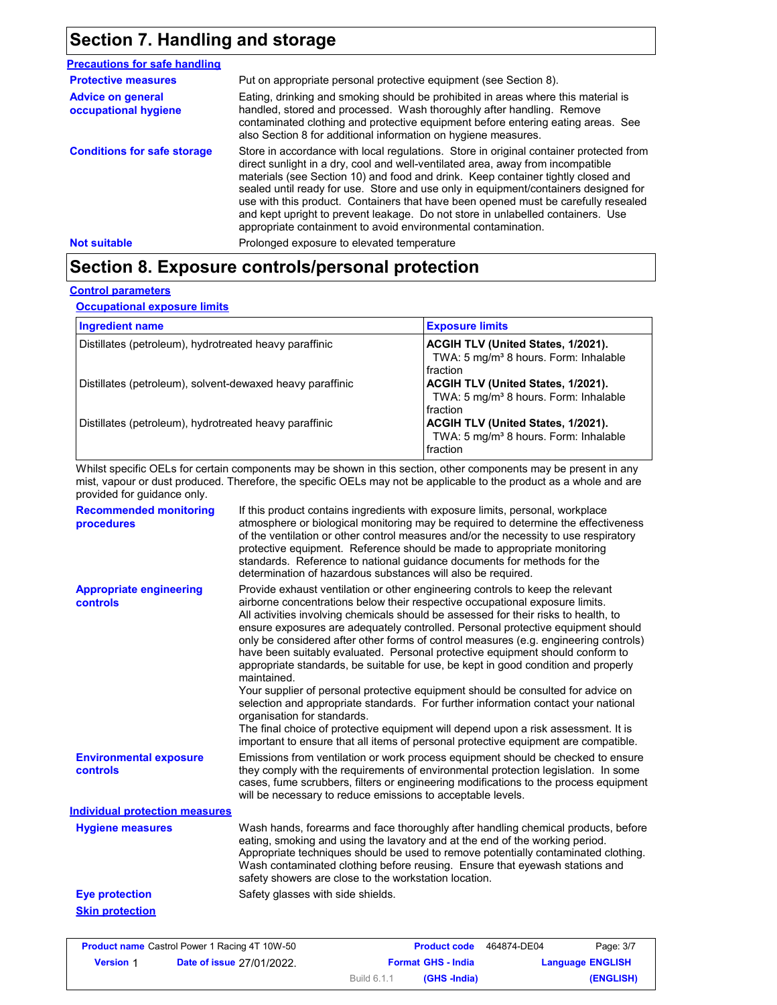## **Section 7. Handling and storage**

| <b>Precautions for safe handling</b>             |                                                                                                                                                                                                                                                                                                                                                                                                                                                                                                                                                                                                |
|--------------------------------------------------|------------------------------------------------------------------------------------------------------------------------------------------------------------------------------------------------------------------------------------------------------------------------------------------------------------------------------------------------------------------------------------------------------------------------------------------------------------------------------------------------------------------------------------------------------------------------------------------------|
| <b>Protective measures</b>                       | Put on appropriate personal protective equipment (see Section 8).                                                                                                                                                                                                                                                                                                                                                                                                                                                                                                                              |
| <b>Advice on general</b><br>occupational hygiene | Eating, drinking and smoking should be prohibited in areas where this material is<br>handled, stored and processed. Wash thoroughly after handling. Remove<br>contaminated clothing and protective equipment before entering eating areas. See<br>also Section 8 for additional information on hygiene measures.                                                                                                                                                                                                                                                                               |
| <b>Conditions for safe storage</b>               | Store in accordance with local regulations. Store in original container protected from<br>direct sunlight in a dry, cool and well-ventilated area, away from incompatible<br>materials (see Section 10) and food and drink. Keep container tightly closed and<br>sealed until ready for use. Store and use only in equipment/containers designed for<br>use with this product. Containers that have been opened must be carefully resealed<br>and kept upright to prevent leakage. Do not store in unlabelled containers. Use<br>appropriate containment to avoid environmental contamination. |
| <b>Not suitable</b>                              | Prolonged exposure to elevated temperature                                                                                                                                                                                                                                                                                                                                                                                                                                                                                                                                                     |

## **Section 8. Exposure controls/personal protection**

### **Control parameters**

**Occupational exposure limits**

| <b>Ingredient name</b>                                    | <b>Exposure limits</b>                                                                              |
|-----------------------------------------------------------|-----------------------------------------------------------------------------------------------------|
| Distillates (petroleum), hydrotreated heavy paraffinic    | ACGIH TLV (United States, 1/2021).<br>TWA: 5 mg/m <sup>3</sup> 8 hours. Form: Inhalable<br>fraction |
| Distillates (petroleum), solvent-dewaxed heavy paraffinic | ACGIH TLV (United States, 1/2021).<br>TWA: 5 mg/m <sup>3</sup> 8 hours. Form: Inhalable<br>fraction |
| Distillates (petroleum), hydrotreated heavy paraffinic    | ACGIH TLV (United States, 1/2021).<br>TWA: 5 mg/m <sup>3</sup> 8 hours. Form: Inhalable<br>fraction |

Whilst specific OELs for certain components may be shown in this section, other components may be present in any mist, vapour or dust produced. Therefore, the specific OELs may not be applicable to the product as a whole and are provided for guidance only.

| <b>Recommended monitoring</b><br>procedures       | If this product contains ingredients with exposure limits, personal, workplace<br>atmosphere or biological monitoring may be required to determine the effectiveness<br>of the ventilation or other control measures and/or the necessity to use respiratory<br>protective equipment. Reference should be made to appropriate monitoring<br>standards. Reference to national guidance documents for methods for the<br>determination of hazardous substances will also be required.                                                                                                                                                                                                                                                                                                                                                                                                                                                                                                                           |
|---------------------------------------------------|---------------------------------------------------------------------------------------------------------------------------------------------------------------------------------------------------------------------------------------------------------------------------------------------------------------------------------------------------------------------------------------------------------------------------------------------------------------------------------------------------------------------------------------------------------------------------------------------------------------------------------------------------------------------------------------------------------------------------------------------------------------------------------------------------------------------------------------------------------------------------------------------------------------------------------------------------------------------------------------------------------------|
| <b>Appropriate engineering</b><br><b>controls</b> | Provide exhaust ventilation or other engineering controls to keep the relevant<br>airborne concentrations below their respective occupational exposure limits.<br>All activities involving chemicals should be assessed for their risks to health, to<br>ensure exposures are adequately controlled. Personal protective equipment should<br>only be considered after other forms of control measures (e.g. engineering controls)<br>have been suitably evaluated. Personal protective equipment should conform to<br>appropriate standards, be suitable for use, be kept in good condition and properly<br>maintained.<br>Your supplier of personal protective equipment should be consulted for advice on<br>selection and appropriate standards. For further information contact your national<br>organisation for standards.<br>The final choice of protective equipment will depend upon a risk assessment. It is<br>important to ensure that all items of personal protective equipment are compatible. |
| <b>Environmental exposure</b><br>controls         | Emissions from ventilation or work process equipment should be checked to ensure<br>they comply with the requirements of environmental protection legislation. In some<br>cases, fume scrubbers, filters or engineering modifications to the process equipment<br>will be necessary to reduce emissions to acceptable levels.                                                                                                                                                                                                                                                                                                                                                                                                                                                                                                                                                                                                                                                                                 |
| <b>Individual protection measures</b>             |                                                                                                                                                                                                                                                                                                                                                                                                                                                                                                                                                                                                                                                                                                                                                                                                                                                                                                                                                                                                               |
| <b>Hygiene measures</b>                           | Wash hands, forearms and face thoroughly after handling chemical products, before<br>eating, smoking and using the lavatory and at the end of the working period.<br>Appropriate techniques should be used to remove potentially contaminated clothing.<br>Wash contaminated clothing before reusing. Ensure that eyewash stations and<br>safety showers are close to the workstation location.                                                                                                                                                                                                                                                                                                                                                                                                                                                                                                                                                                                                               |
| <b>Eye protection</b>                             | Safety glasses with side shields.                                                                                                                                                                                                                                                                                                                                                                                                                                                                                                                                                                                                                                                                                                                                                                                                                                                                                                                                                                             |
| <b>Skin protection</b>                            |                                                                                                                                                                                                                                                                                                                                                                                                                                                                                                                                                                                                                                                                                                                                                                                                                                                                                                                                                                                                               |
|                                                   |                                                                                                                                                                                                                                                                                                                                                                                                                                                                                                                                                                                                                                                                                                                                                                                                                                                                                                                                                                                                               |

| <b>Product name</b> Castrol Power 1 Racing 4T 10W-50 |                                  |                           | <b>Product code</b> | 464874-DE04 | Page: 3/7               |
|------------------------------------------------------|----------------------------------|---------------------------|---------------------|-------------|-------------------------|
| <b>Version 1</b>                                     | <b>Date of issue 27/01/2022.</b> | <b>Format GHS - India</b> |                     |             | <b>Language ENGLISH</b> |
|                                                      |                                  | Build 6.1.1               | (GHS -India)        |             | (ENGLISH)               |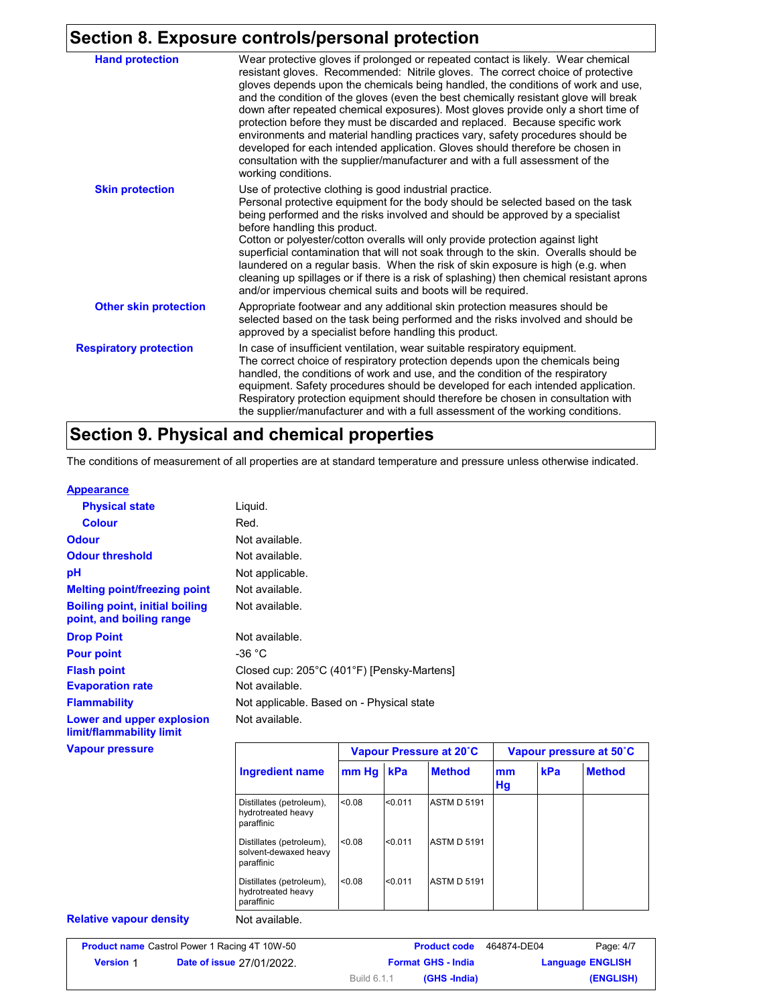### **Section 8. Exposure controls/personal protection**

| <b>Hand protection</b>        | Wear protective gloves if prolonged or repeated contact is likely. Wear chemical<br>resistant gloves. Recommended: Nitrile gloves. The correct choice of protective<br>gloves depends upon the chemicals being handled, the conditions of work and use,<br>and the condition of the gloves (even the best chemically resistant glove will break<br>down after repeated chemical exposures). Most gloves provide only a short time of<br>protection before they must be discarded and replaced. Because specific work<br>environments and material handling practices vary, safety procedures should be<br>developed for each intended application. Gloves should therefore be chosen in<br>consultation with the supplier/manufacturer and with a full assessment of the<br>working conditions. |
|-------------------------------|-------------------------------------------------------------------------------------------------------------------------------------------------------------------------------------------------------------------------------------------------------------------------------------------------------------------------------------------------------------------------------------------------------------------------------------------------------------------------------------------------------------------------------------------------------------------------------------------------------------------------------------------------------------------------------------------------------------------------------------------------------------------------------------------------|
|                               | Use of protective clothing is good industrial practice.                                                                                                                                                                                                                                                                                                                                                                                                                                                                                                                                                                                                                                                                                                                                         |
| <b>Skin protection</b>        | Personal protective equipment for the body should be selected based on the task<br>being performed and the risks involved and should be approved by a specialist<br>before handling this product.<br>Cotton or polyester/cotton overalls will only provide protection against light<br>superficial contamination that will not soak through to the skin. Overalls should be<br>laundered on a regular basis. When the risk of skin exposure is high (e.g. when<br>cleaning up spillages or if there is a risk of splashing) then chemical resistant aprons<br>and/or impervious chemical suits and boots will be required.                                                                                                                                                                      |
| <b>Other skin protection</b>  | Appropriate footwear and any additional skin protection measures should be<br>selected based on the task being performed and the risks involved and should be<br>approved by a specialist before handling this product.                                                                                                                                                                                                                                                                                                                                                                                                                                                                                                                                                                         |
| <b>Respiratory protection</b> | In case of insufficient ventilation, wear suitable respiratory equipment.<br>The correct choice of respiratory protection depends upon the chemicals being<br>handled, the conditions of work and use, and the condition of the respiratory<br>equipment. Safety procedures should be developed for each intended application.<br>Respiratory protection equipment should therefore be chosen in consultation with<br>the supplier/manufacturer and with a full assessment of the working conditions.                                                                                                                                                                                                                                                                                           |

## **Section 9. Physical and chemical properties**

The conditions of measurement of all properties are at standard temperature and pressure unless otherwise indicated.

#### **Appearance**

| <b>Physical state</b>                                             | Liquid.                                   |                                            |  |
|-------------------------------------------------------------------|-------------------------------------------|--------------------------------------------|--|
| <b>Colour</b>                                                     | Red.                                      |                                            |  |
| <b>Odour</b>                                                      | Not available.                            |                                            |  |
| <b>Odour threshold</b>                                            | Not available.                            |                                            |  |
| рH                                                                | Not applicable.                           |                                            |  |
| <b>Melting point/freezing point</b>                               | Not available.                            |                                            |  |
| <b>Boiling point, initial boiling</b><br>point, and boiling range | Not available.                            |                                            |  |
| <b>Drop Point</b>                                                 | Not available.                            |                                            |  |
| <b>Pour point</b>                                                 | -36 $^{\circ}$ C                          |                                            |  |
| <b>Flash point</b>                                                |                                           | Closed cup: 205°C (401°F) [Pensky-Martens] |  |
| <b>Evaporation rate</b>                                           | Not available.                            |                                            |  |
| <b>Flammability</b>                                               | Not applicable. Based on - Physical state |                                            |  |
| Lower and upper explosion<br>limit/flammability limit             | Not available.                            |                                            |  |
| <b>Vapour pressure</b>                                            |                                           | Vapour Pressure at 20°C                    |  |

|                                                                 |        | Vapour Pressure at 20°C |                    |          | Vapour pressure at 50°C |               |  |
|-----------------------------------------------------------------|--------|-------------------------|--------------------|----------|-------------------------|---------------|--|
| <b>Ingredient name</b>                                          | mm Hg  | kPa                     | <b>Method</b>      | mm<br>Hg | kPa                     | <b>Method</b> |  |
| Distillates (petroleum),<br>hydrotreated heavy<br>paraffinic    | < 0.08 | < 0.011                 | <b>ASTM D 5191</b> |          |                         |               |  |
| Distillates (petroleum),<br>solvent-dewaxed heavy<br>paraffinic | < 0.08 | < 0.011                 | <b>ASTM D 5191</b> |          |                         |               |  |
| Distillates (petroleum),<br>hydrotreated heavy<br>paraffinic    | < 0.08 | < 0.011                 | <b>ASTM D 5191</b> |          |                         |               |  |

**Relative vapour density**

| Page: 4/7<br><b>Product code</b><br>464874-DE04 |  | <b>Product name</b> Castrol Power 1 Racing 4T 10W-50 |             |                                  |                  |
|-------------------------------------------------|--|------------------------------------------------------|-------------|----------------------------------|------------------|
| <b>Language ENGLISH</b>                         |  | <b>Format GHS - India</b>                            |             | <b>Date of issue 27/01/2022.</b> | <b>Version 1</b> |
| (ENGLISH)                                       |  | (GHS -India)                                         | Build 6.1.1 |                                  |                  |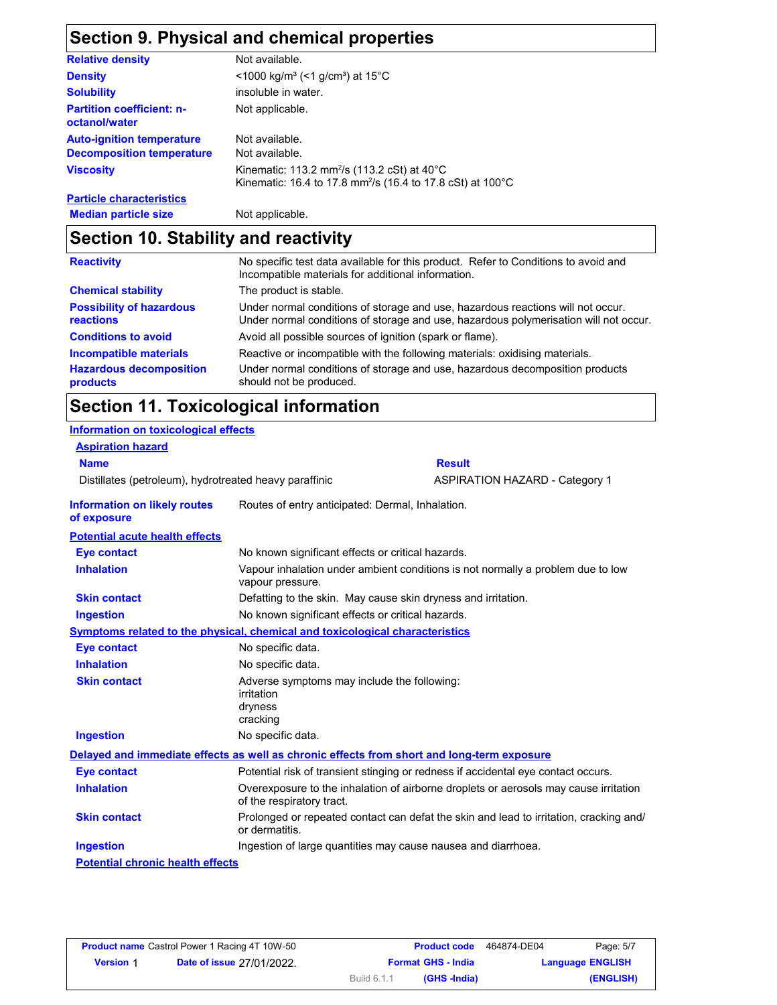# **Section 9. Physical and chemical properties**

| <b>Relative density</b>                           | Not available.                                                                                                                    |
|---------------------------------------------------|-----------------------------------------------------------------------------------------------------------------------------------|
| <b>Density</b>                                    | $\leq$ 1000 kg/m <sup>3</sup> (<1 g/cm <sup>3</sup> ) at 15 <sup>°</sup> C                                                        |
| <b>Solubility</b>                                 | insoluble in water.                                                                                                               |
| <b>Partition coefficient: n-</b><br>octanol/water | Not applicable.                                                                                                                   |
| <b>Auto-ignition temperature</b>                  | Not available.                                                                                                                    |
| <b>Decomposition temperature</b>                  | Not available.                                                                                                                    |
| <b>Viscosity</b>                                  | Kinematic: 113.2 mm <sup>2</sup> /s (113.2 cSt) at 40°C<br>Kinematic: 16.4 to 17.8 mm <sup>2</sup> /s (16.4 to 17.8 cSt) at 100°C |
| <b>Particle characteristics</b>                   |                                                                                                                                   |
| <b>Median particle size</b>                       | Not applicable.                                                                                                                   |

## **Section 10. Stability and reactivity**

| <b>Reactivity</b>                            | No specific test data available for this product. Refer to Conditions to avoid and<br>Incompatible materials for additional information.                                |
|----------------------------------------------|-------------------------------------------------------------------------------------------------------------------------------------------------------------------------|
| <b>Chemical stability</b>                    | The product is stable.                                                                                                                                                  |
| <b>Possibility of hazardous</b><br>reactions | Under normal conditions of storage and use, hazardous reactions will not occur.<br>Under normal conditions of storage and use, hazardous polymerisation will not occur. |
| <b>Conditions to avoid</b>                   | Avoid all possible sources of ignition (spark or flame).                                                                                                                |
| <b>Incompatible materials</b>                | Reactive or incompatible with the following materials: oxidising materials.                                                                                             |
| <b>Hazardous decomposition</b><br>products   | Under normal conditions of storage and use, hazardous decomposition products<br>should not be produced.                                                                 |

## **Section 11. Toxicological information**

| <b>Information on toxicological effects</b>            |                                                                                                   |                                                                                            |  |  |  |
|--------------------------------------------------------|---------------------------------------------------------------------------------------------------|--------------------------------------------------------------------------------------------|--|--|--|
| <b>Aspiration hazard</b>                               |                                                                                                   |                                                                                            |  |  |  |
| <b>Name</b>                                            | <b>Result</b>                                                                                     |                                                                                            |  |  |  |
| Distillates (petroleum), hydrotreated heavy paraffinic |                                                                                                   | <b>ASPIRATION HAZARD - Category 1</b>                                                      |  |  |  |
| <b>Information on likely routes</b><br>of exposure     | Routes of entry anticipated: Dermal, Inhalation.                                                  |                                                                                            |  |  |  |
| <b>Potential acute health effects</b>                  |                                                                                                   |                                                                                            |  |  |  |
| <b>Eye contact</b>                                     | No known significant effects or critical hazards.                                                 |                                                                                            |  |  |  |
| <b>Inhalation</b>                                      | vapour pressure.                                                                                  | Vapour inhalation under ambient conditions is not normally a problem due to low            |  |  |  |
| <b>Skin contact</b>                                    |                                                                                                   | Defatting to the skin. May cause skin dryness and irritation.                              |  |  |  |
| <b>Ingestion</b>                                       | No known significant effects or critical hazards.                                                 |                                                                                            |  |  |  |
|                                                        | Symptoms related to the physical, chemical and toxicological characteristics<br>No specific data. |                                                                                            |  |  |  |
| <b>Eye contact</b>                                     |                                                                                                   |                                                                                            |  |  |  |
| <b>Inhalation</b>                                      | No specific data.                                                                                 |                                                                                            |  |  |  |
| <b>Skin contact</b>                                    | Adverse symptoms may include the following:<br>irritation<br>dryness<br>cracking                  |                                                                                            |  |  |  |
| <b>Ingestion</b>                                       | No specific data.                                                                                 |                                                                                            |  |  |  |
|                                                        |                                                                                                   | Delayed and immediate effects as well as chronic effects from short and long-term exposure |  |  |  |
| <b>Eye contact</b>                                     |                                                                                                   | Potential risk of transient stinging or redness if accidental eye contact occurs.          |  |  |  |
| <b>Inhalation</b>                                      | of the respiratory tract.                                                                         | Overexposure to the inhalation of airborne droplets or aerosols may cause irritation       |  |  |  |
| <b>Skin contact</b>                                    | or dermatitis.                                                                                    | Prolonged or repeated contact can defat the skin and lead to irritation, cracking and/     |  |  |  |
| <b>Ingestion</b>                                       |                                                                                                   | Ingestion of large quantities may cause nausea and diarrhoea.                              |  |  |  |
| <b>Potential chronic health effects</b>                |                                                                                                   |                                                                                            |  |  |  |

| Page: 5/7               | 464874-DE04<br><b>Product code</b> |                           | <b>Product name</b> Castrol Power 1 Racing 4T 10W-50 |                                  |                  |
|-------------------------|------------------------------------|---------------------------|------------------------------------------------------|----------------------------------|------------------|
| <b>Language ENGLISH</b> |                                    | <b>Format GHS - India</b> |                                                      | <b>Date of issue 27/01/2022.</b> | <b>Version 1</b> |
| (ENGLISH)               |                                    | (GHS -India)              | Build 6.1.1                                          |                                  |                  |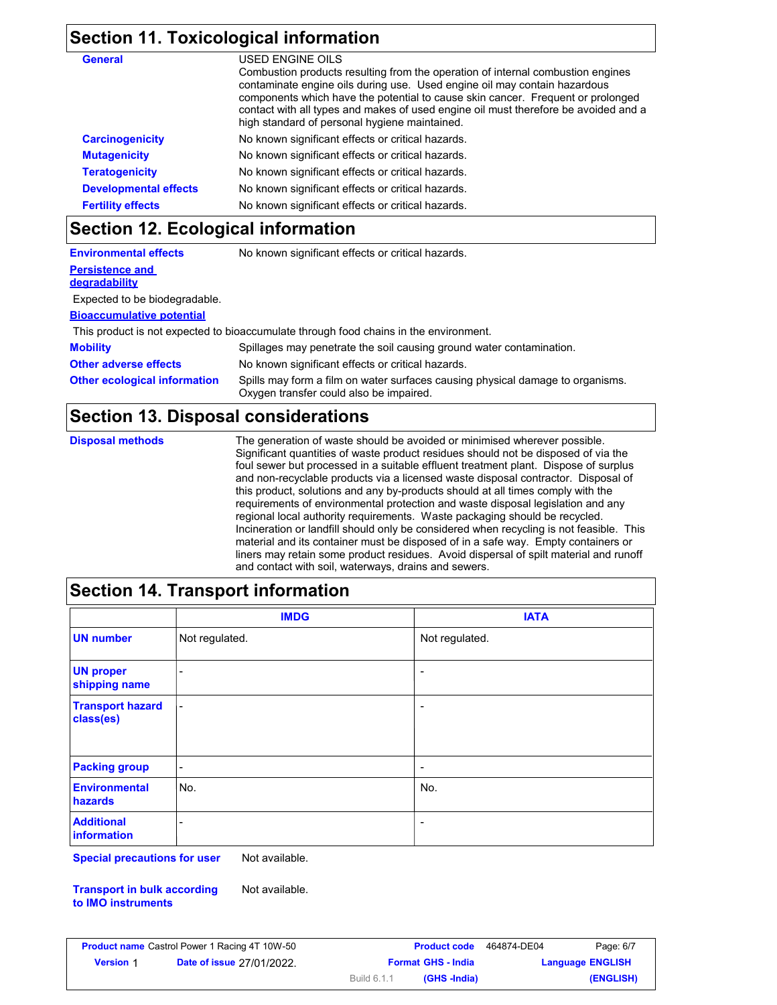## **Section 11. Toxicological information**

| <b>General</b>               | USED ENGINE OILS                                                                                                                                                                                                                                                                                                                                                                        |
|------------------------------|-----------------------------------------------------------------------------------------------------------------------------------------------------------------------------------------------------------------------------------------------------------------------------------------------------------------------------------------------------------------------------------------|
|                              | Combustion products resulting from the operation of internal combustion engines<br>contaminate engine oils during use. Used engine oil may contain hazardous<br>components which have the potential to cause skin cancer. Frequent or prolonged<br>contact with all types and makes of used engine oil must therefore be avoided and a<br>high standard of personal hygiene maintained. |
| <b>Carcinogenicity</b>       | No known significant effects or critical hazards.                                                                                                                                                                                                                                                                                                                                       |
| <b>Mutagenicity</b>          | No known significant effects or critical hazards.                                                                                                                                                                                                                                                                                                                                       |
| <b>Teratogenicity</b>        | No known significant effects or critical hazards.                                                                                                                                                                                                                                                                                                                                       |
| <b>Developmental effects</b> | No known significant effects or critical hazards.                                                                                                                                                                                                                                                                                                                                       |
| <b>Fertility effects</b>     | No known significant effects or critical hazards.                                                                                                                                                                                                                                                                                                                                       |

### **Section 12. Ecological information**

| <b>Environmental effects</b>        | No known significant effects or critical hazards.                                                                         |  |  |
|-------------------------------------|---------------------------------------------------------------------------------------------------------------------------|--|--|
| <b>Persistence and</b>              |                                                                                                                           |  |  |
| <b>degradability</b>                |                                                                                                                           |  |  |
| Expected to be biodegradable.       |                                                                                                                           |  |  |
| <b>Bioaccumulative potential</b>    |                                                                                                                           |  |  |
|                                     | This product is not expected to bioaccumulate through food chains in the environment.                                     |  |  |
| <b>Mobility</b>                     | Spillages may penetrate the soil causing ground water contamination.                                                      |  |  |
| <b>Other adverse effects</b>        | No known significant effects or critical hazards.                                                                         |  |  |
| <b>Other ecological information</b> | Spills may form a film on water surfaces causing physical damage to organisms.<br>Oxygen transfer could also be impaired. |  |  |

### **Section 13. Disposal considerations**

**Disposal methods** The generation of waste should be avoided or minimised wherever possible. Significant quantities of waste product residues should not be disposed of via the foul sewer but processed in a suitable effluent treatment plant. Dispose of surplus and non-recyclable products via a licensed waste disposal contractor. Disposal of this product, solutions and any by-products should at all times comply with the requirements of environmental protection and waste disposal legislation and any regional local authority requirements. Waste packaging should be recycled. Incineration or landfill should only be considered when recycling is not feasible. This material and its container must be disposed of in a safe way. Empty containers or liners may retain some product residues. Avoid dispersal of spilt material and runoff and contact with soil, waterways, drains and sewers.

### **Section 14. Transport information**

|                                      | <b>IMDG</b>              | <b>IATA</b>              |
|--------------------------------------|--------------------------|--------------------------|
| <b>UN number</b>                     | Not regulated.           | Not regulated.           |
| <b>UN proper</b><br>shipping name    | -                        | $\overline{\phantom{a}}$ |
| <b>Transport hazard</b><br>class(es) | $\blacksquare$           | $\overline{\phantom{a}}$ |
| <b>Packing group</b>                 | $\overline{\phantom{a}}$ | $\overline{\phantom{a}}$ |
| <b>Environmental</b><br>hazards      | No.                      | No.                      |
| <b>Additional</b><br>information     | -                        | $\overline{\phantom{a}}$ |

**Special precautions for user** Not available.

**Transport in bulk according to IMO instruments** Not available.

| Page: 6/7 | 464874-DE04             | <b>Product code</b>       |             | <b>Product name</b> Castrol Power 1 Racing 4T 10W-50 |                  |
|-----------|-------------------------|---------------------------|-------------|------------------------------------------------------|------------------|
|           | <b>Language ENGLISH</b> | <b>Format GHS - India</b> |             | Date of issue 27/01/2022.                            | <b>Version 1</b> |
| (ENGLISH) |                         | (GHS -India)              | Build 6.1.1 |                                                      |                  |